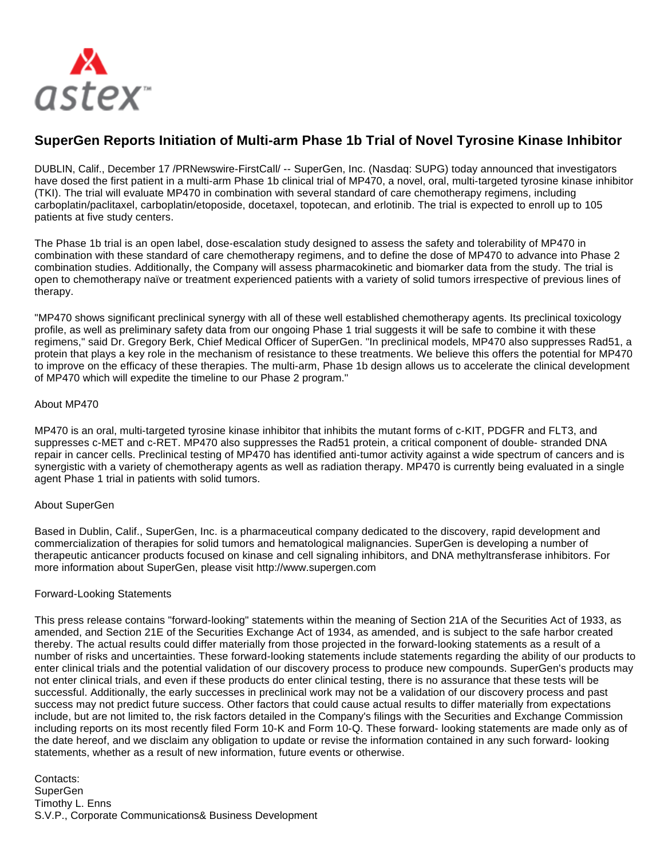

## **SuperGen Reports Initiation of Multi-arm Phase 1b Trial of Novel Tyrosine Kinase Inhibitor**

DUBLIN, Calif., December 17 /PRNewswire-FirstCall/ -- SuperGen, Inc. (Nasdaq: SUPG) today announced that investigators have dosed the first patient in a multi-arm Phase 1b clinical trial of MP470, a novel, oral, multi-targeted tyrosine kinase inhibitor (TKI). The trial will evaluate MP470 in combination with several standard of care chemotherapy regimens, including carboplatin/paclitaxel, carboplatin/etoposide, docetaxel, topotecan, and erlotinib. The trial is expected to enroll up to 105 patients at five study centers.

The Phase 1b trial is an open label, dose-escalation study designed to assess the safety and tolerability of MP470 in combination with these standard of care chemotherapy regimens, and to define the dose of MP470 to advance into Phase 2 combination studies. Additionally, the Company will assess pharmacokinetic and biomarker data from the study. The trial is open to chemotherapy naïve or treatment experienced patients with a variety of solid tumors irrespective of previous lines of therapy.

"MP470 shows significant preclinical synergy with all of these well established chemotherapy agents. Its preclinical toxicology profile, as well as preliminary safety data from our ongoing Phase 1 trial suggests it will be safe to combine it with these regimens," said Dr. Gregory Berk, Chief Medical Officer of SuperGen. "In preclinical models, MP470 also suppresses Rad51, a protein that plays a key role in the mechanism of resistance to these treatments. We believe this offers the potential for MP470 to improve on the efficacy of these therapies. The multi-arm, Phase 1b design allows us to accelerate the clinical development of MP470 which will expedite the timeline to our Phase 2 program."

## About MP470

MP470 is an oral, multi-targeted tyrosine kinase inhibitor that inhibits the mutant forms of c-KIT, PDGFR and FLT3, and suppresses c-MET and c-RET. MP470 also suppresses the Rad51 protein, a critical component of double- stranded DNA repair in cancer cells. Preclinical testing of MP470 has identified anti-tumor activity against a wide spectrum of cancers and is synergistic with a variety of chemotherapy agents as well as radiation therapy. MP470 is currently being evaluated in a single agent Phase 1 trial in patients with solid tumors.

## About SuperGen

Based in Dublin, Calif., SuperGen, Inc. is a pharmaceutical company dedicated to the discovery, rapid development and commercialization of therapies for solid tumors and hematological malignancies. SuperGen is developing a number of therapeutic anticancer products focused on kinase and cell signaling inhibitors, and DNA methyltransferase inhibitors. For more information about SuperGen, please visit http://www.supergen.com

## Forward-Looking Statements

This press release contains "forward-looking" statements within the meaning of Section 21A of the Securities Act of 1933, as amended, and Section 21E of the Securities Exchange Act of 1934, as amended, and is subject to the safe harbor created thereby. The actual results could differ materially from those projected in the forward-looking statements as a result of a number of risks and uncertainties. These forward-looking statements include statements regarding the ability of our products to enter clinical trials and the potential validation of our discovery process to produce new compounds. SuperGen's products may not enter clinical trials, and even if these products do enter clinical testing, there is no assurance that these tests will be successful. Additionally, the early successes in preclinical work may not be a validation of our discovery process and past success may not predict future success. Other factors that could cause actual results to differ materially from expectations include, but are not limited to, the risk factors detailed in the Company's filings with the Securities and Exchange Commission including reports on its most recently filed Form 10-K and Form 10-Q. These forward- looking statements are made only as of the date hereof, and we disclaim any obligation to update or revise the information contained in any such forward- looking statements, whether as a result of new information, future events or otherwise.

Contacts: SuperGen Timothy L. Enns S.V.P., Corporate Communications& Business Development